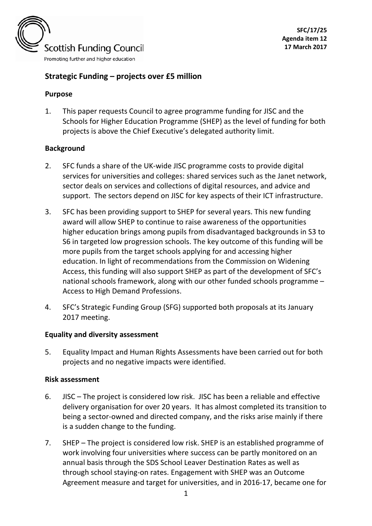

# **Strategic Funding – projects over £5 million**

#### **Purpose**

1. This paper requests Council to agree programme funding for JISC and the Schools for Higher Education Programme (SHEP) as the level of funding for both projects is above the Chief Executive's delegated authority limit.

#### **Background**

- 2. SFC funds a share of the UK-wide JISC programme costs to provide digital services for universities and colleges: shared services such as the Janet network, sector deals on services and collections of digital resources, and advice and support. The sectors depend on JISC for key aspects of their ICT infrastructure.
- 3. SFC has been providing support to SHEP for several years. This new funding award will allow SHEP to continue to raise awareness of the opportunities higher education brings among pupils from disadvantaged backgrounds in S3 to S6 in targeted low progression schools. The key outcome of this funding will be more pupils from the target schools applying for and accessing higher education. In light of recommendations from the Commission on Widening Access, this funding will also support SHEP as part of the development of SFC's national schools framework, along with our other funded schools programme – Access to High Demand Professions.
- 4. SFC's Strategic Funding Group (SFG) supported both proposals at its January 2017 meeting.

#### **Equality and diversity assessment**

5. Equality Impact and Human Rights Assessments have been carried out for both projects and no negative impacts were identified.

#### **Risk assessment**

- 6. JISC The project is considered low risk. JISC has been a reliable and effective delivery organisation for over 20 years. It has almost completed its transition to being a sector-owned and directed company, and the risks arise mainly if there is a sudden change to the funding.
- 7. SHEP The project is considered low risk. SHEP is an established programme of work involving four universities where success can be partly monitored on an annual basis through the SDS School Leaver Destination Rates as well as through school staying-on rates. Engagement with SHEP was an Outcome Agreement measure and target for universities, and in 2016-17, became one for